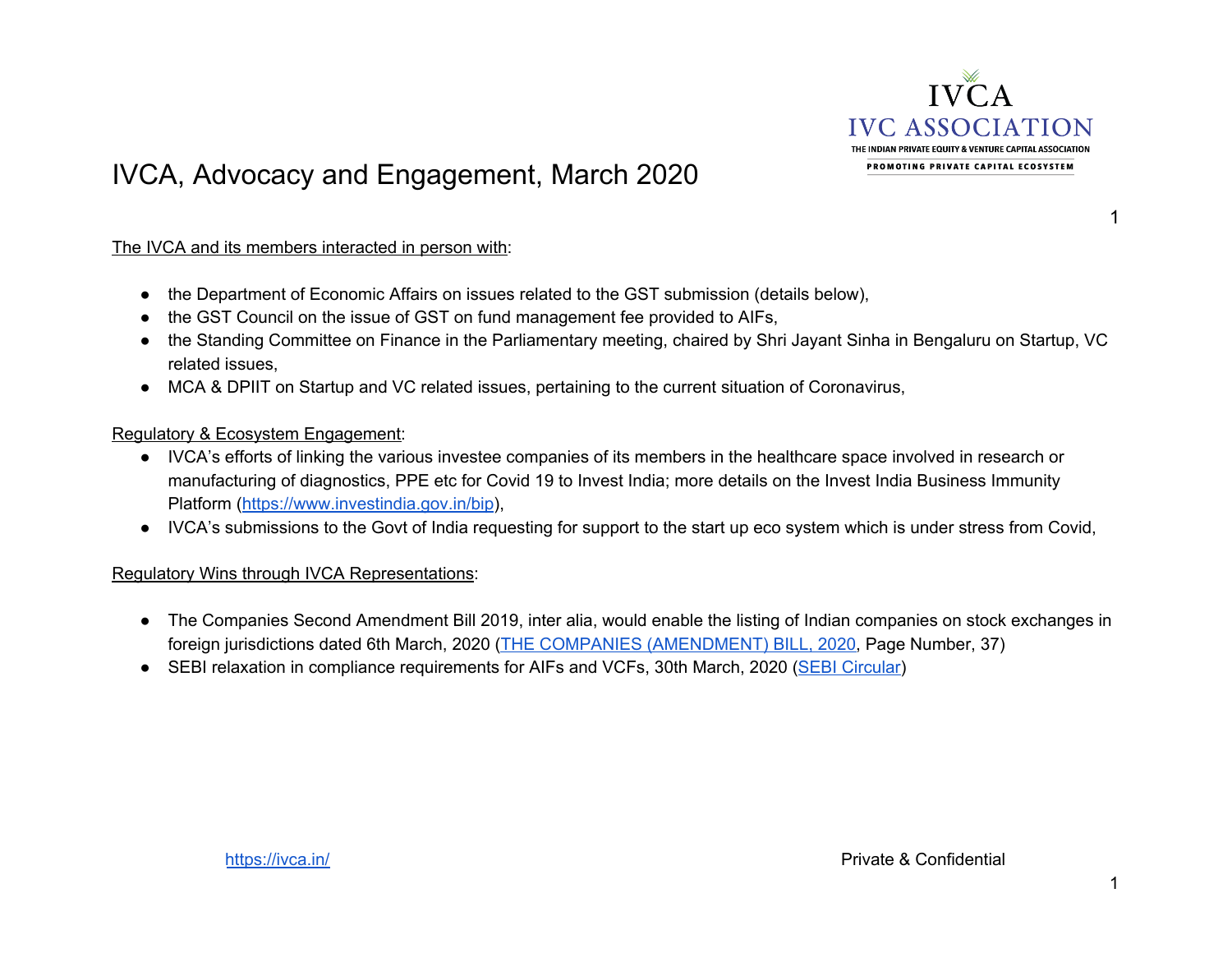

## IVCA, Advocacy and Engagement, March 2020

The IVCA and its members interacted in person with:

- the Department of Economic Affairs on issues related to the GST submission (details below),
- the GST Council on the issue of GST on fund management fee provided to AIFs,
- the Standing Committee on Finance in the Parliamentary meeting, chaired by Shri Jayant Sinha in Bengaluru on Startup, VC related issues,
- MCA & DPIIT on Startup and VC related issues, pertaining to the current situation of Coronavirus,

## Regulatory & Ecosystem Engagement:

- IVCA's efforts of linking the various investee companies of its members in the healthcare space involved in research or manufacturing of diagnostics, PPE etc for Covid 19 to Invest India; more details on the Invest India Business Immunity Platform (<https://www.investindia.gov.in/bip>),
- IVCA's submissions to the Govt of India requesting for support to the start up eco system which is under stress from Covid,

## Regulatory Wins through IVCA Representations:

- The Companies Second Amendment Bill 2019, inter alia, would enable the listing of Indian companies on stock exchanges in foreign jurisdictions dated 6th March, 2020 (THE COMPANIES [\(AMENDMENT\)](http://www.mca.gov.in/Ministry/pdf/Amendment_18032020.pdf) BILL, 2020, Page Number, 37)
- SEBI relaxation in compliance requirements for AIFs and VCFs, 30th March, 2020 (SEBI [Circular](https://files.constantcontact.com/20ba18ab601/50bae7ee-b319-4438-893f-a34331f1646e.pdf))

1